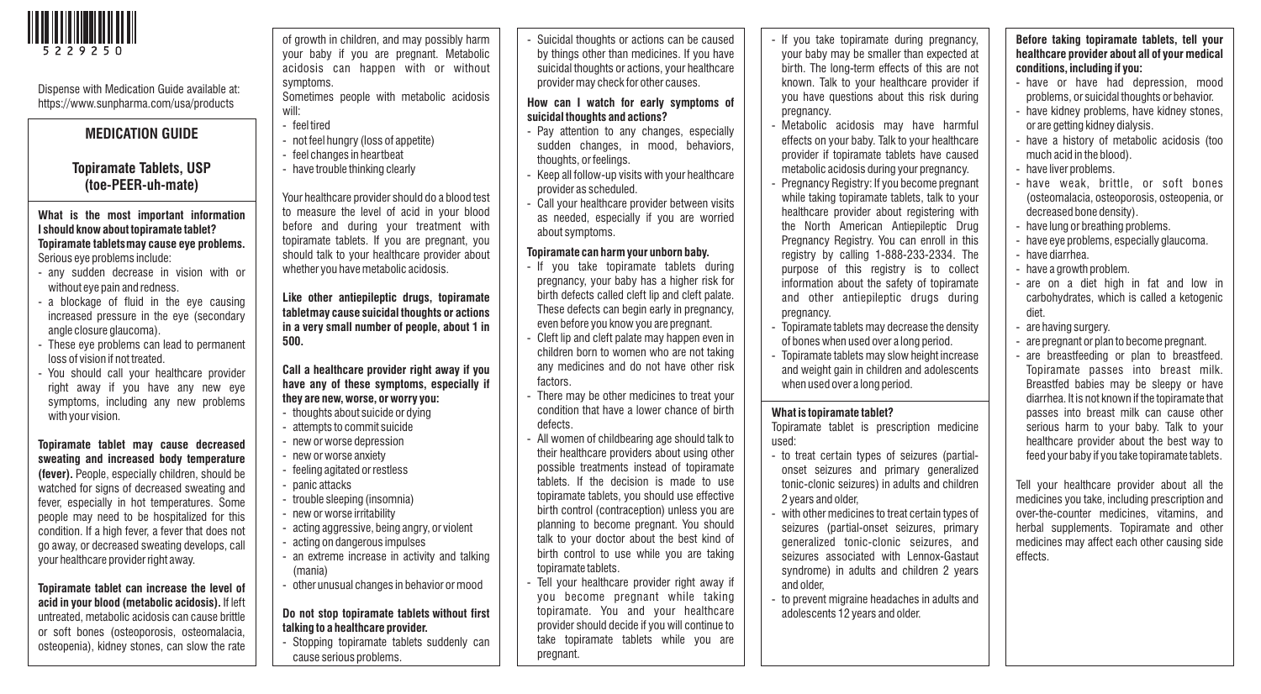

| 5229250                                                                                                                                            | of growth in children, and may possibly harm<br>your baby if you are pregnant. Metabolic<br>acidosis can happen with or without             | - Suicidal thoughts or actions can be caused<br>by things other than medicines. If you have<br>suicidal thoughts or actions, your healthcare           | - If you take topiramate during pregnancy,<br>your baby may be smaller than expected at<br>birth. The long-term effects of this are not                                                  | Before taking topiramate tablets, tell your<br>healthcare provider about all of your medical<br>conditions, including if you:            |
|----------------------------------------------------------------------------------------------------------------------------------------------------|---------------------------------------------------------------------------------------------------------------------------------------------|--------------------------------------------------------------------------------------------------------------------------------------------------------|------------------------------------------------------------------------------------------------------------------------------------------------------------------------------------------|------------------------------------------------------------------------------------------------------------------------------------------|
| Dispense with Medication Guide available at:<br>https://www.sunpharma.com/usa/products                                                             | symptoms.<br>Sometimes people with metabolic acidosis<br>will:                                                                              | provider may check for other causes.<br>How can I watch for early symptoms of<br>suicidal thoughts and actions?                                        | known. Talk to your healthcare provider if<br>you have questions about this risk during<br>pregnancy.                                                                                    | - have or have had depression, mood<br>problems, or suicidal thoughts or behavior.<br>- have kidney problems, have kidney stones,        |
| <b>MEDICATION GUIDE</b>                                                                                                                            | - feel tired<br>- not feel hungry (loss of appetite)                                                                                        | - Pay attention to any changes, especially<br>sudden changes, in mood, behaviors,                                                                      | - Metabolic acidosis may have harmful<br>effects on your baby. Talk to your healthcare                                                                                                   | or are getting kidney dialysis.<br>- have a history of metabolic acidosis (too                                                           |
| <b>Topiramate Tablets, USP</b><br>(toe-PEER-uh-mate)                                                                                               | - feel changes in heartbeat<br>- have trouble thinking clearly<br>Your healthcare provider should do a blood test                           | thoughts, or feelings.<br>- Keep all follow-up visits with your healthcare<br>provider as scheduled.<br>- Call your healthcare provider between visits | provider if topiramate tablets have caused<br>metabolic acidosis during your pregnancy.<br>- Pregnancy Registry: If you become pregnant<br>while taking topiramate tablets, talk to your | much acid in the blood).<br>- have liver problems.<br>- have weak, brittle, or soft bones<br>(osteomalacia, osteoporosis, osteopenia, or |
| What is the most important information<br>I should know about topiramate tablet?<br>Topiramate tablets may cause eye problems.                     | to measure the level of acid in your blood<br>before and during your treatment with<br>topiramate tablets. If you are pregnant, you         | as needed, especially if you are worried<br>about symptoms.                                                                                            | healthcare provider about registering with<br>the North American Antiepileptic Drug<br>Pregnancy Registry. You can enroll in this                                                        | decreased bone density).<br>- have lung or breathing problems.<br>- have eye problems, especially glaucoma.                              |
| Serious eye problems include:<br>any sudden decrease in vision with or<br>without eye pain and redness.                                            | should talk to your healthcare provider about<br>whether you have metabolic acidosis.                                                       | Topiramate can harm your unborn baby.<br>- If you take topiramate tablets during<br>pregnancy, your baby has a higher risk for                         | registry by calling 1-888-233-2334. The<br>purpose of this registry is to collect<br>information about the safety of topiramate                                                          | - have diarrhea.<br>- have a growth problem.<br>- are on a diet high in fat and low in                                                   |
| a blockage of fluid in the eye causing<br>increased pressure in the eye (secondary<br>angle closure glaucoma).                                     | Like other antiepileptic drugs, topiramate<br>tablet may cause suicidal thoughts or actions<br>in a very small number of people, about 1 in | birth defects called cleft lip and cleft palate.<br>These defects can begin early in pregnancy,<br>even before you know you are pregnant.              | and other antiepileptic drugs during<br>pregnancy.<br>- Topiramate tablets may decrease the density                                                                                      | carbohydrates, which is called a ketogenic<br>diet.<br>- are having surgery.                                                             |
| These eye problems can lead to permanent<br>loss of vision if not treated.<br>You should call your healthcare provider                             | 500.<br>Call a healthcare provider right away if you                                                                                        | - Cleft lip and cleft palate may happen even in<br>children born to women who are not taking<br>any medicines and do not have other risk               | of bones when used over a long period.<br>- Topiramate tablets may slow height increase<br>and weight gain in children and adolescents                                                   | - are pregnant or plan to become pregnant.<br>- are breastfeeding or plan to breastfeed.<br>Topiramate passes into breast milk.          |
| right away if you have any new eye<br>symptoms, including any new problems<br>with your vision.                                                    | have any of these symptoms, especially if<br>they are new, worse, or worry you:<br>- thoughts about suicide or dying                        | factors.<br>- There may be other medicines to treat your<br>condition that have a lower chance of birth                                                | when used over a long period.<br>What is topiramate tablet?                                                                                                                              | Breastfed babies may be sleepy or have<br>diarrhea. It is not known if the topiramate that<br>passes into breast milk can cause other    |
| Topiramate tablet may cause decreased                                                                                                              | - attempts to commit suicide<br>- new or worse depression<br>- new or worse anxiety                                                         | defects.<br>- All women of childbearing age should talk to<br>their healthcare providers about using other                                             | Topiramate tablet is prescription medicine<br>used:<br>- to treat certain types of seizures (partial-                                                                                    | serious harm to your baby. Talk to your<br>healthcare provider about the best way to<br>feed your baby if you take topiramate tablets.   |
| sweating and increased body temperature<br>(fever). People, especially children, should be<br>watched for signs of decreased sweating and          | - feeling agitated or restless<br>- panic attacks                                                                                           | possible treatments instead of topiramate<br>tablets. If the decision is made to use                                                                   | onset seizures and primary generalized<br>tonic-clonic seizures) in adults and children                                                                                                  | Tell your healthcare provider about all the                                                                                              |
| fever, especially in hot temperatures. Some<br>people may need to be hospitalized for this                                                         | - trouble sleeping (insomnia)<br>- new or worse irritability<br>- acting aggressive, being angry, or violent                                | topiramate tablets, you should use effective<br>birth control (contraception) unless you are<br>planning to become pregnant. You should                | 2 years and older,<br>- with other medicines to treat certain types of<br>seizures (partial-onset seizures, primary                                                                      | medicines you take, including prescription and<br>over-the-counter medicines, vitamins, and<br>herbal supplements. Topiramate and other  |
| condition. If a high fever, a fever that does not<br>go away, or decreased sweating develops, call<br>your healthcare provider right away.         | - acting on dangerous impulses<br>an extreme increase in activity and talking<br>(mania)                                                    | talk to your doctor about the best kind of<br>birth control to use while you are taking<br>topiramate tablets.                                         | generalized tonic-clonic seizures, and<br>seizures associated with Lennox-Gastaut<br>syndrome) in adults and children 2 years                                                            | medicines may affect each other causing side<br>effects.                                                                                 |
| Topiramate tablet can increase the level of<br>acid in your blood (metabolic acidosis). If left<br>untreated, metabolic acidosis can cause brittle | - other unusual changes in behavior or mood<br>Do not stop topiramate tablets without first                                                 | - Tell your healthcare provider right away if<br>you become pregnant while taking<br>topiramate. You and your healthcare                               | and older,<br>- to prevent migraine headaches in adults and<br>adolescents 12 years and older.                                                                                           |                                                                                                                                          |
| or soft bones (osteoporosis, osteomalacia,<br>osteopenia), kidney stones, can slow the rate                                                        | talking to a healthcare provider.<br>- Stopping topiramate tablets suddenly can<br>cause serious problems.                                  | provider should decide if you will continue to<br>take topiramate tablets while you are<br>pregnant.                                                   |                                                                                                                                                                                          |                                                                                                                                          |

cause serious problems.